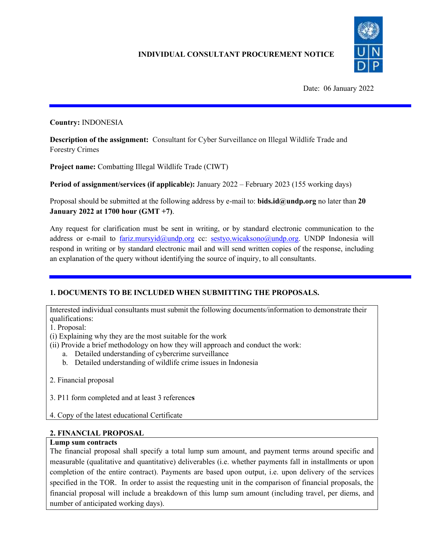

Date: 06 January 2022

#### **Country:** INDONESIA

**Description of the assignment:** Consultant for Cyber Surveillance on Illegal Wildlife Trade and Forestry Crimes

**Project name:** Combatting Illegal Wildlife Trade (CIWT)

**Period of assignment/services (if applicable):** January 2022 – February 2023 (155 working days)

Proposal should be submitted at the following address by e-mail to: **bids.id@undp.org** no later than **20 January 2022 at 1700 hour (GMT +7)**.

Any request for clarification must be sent in writing, or by standard electronic communication to the address or e-mail to [fariz.mursyid@undp.org](mailto:fariz.mursyid@undp.org) cc: [sestyo.wicaksono@undp.org.](mailto:sestyo.wicaksono@undp.org) UNDP Indonesia will respond in writing or by standard electronic mail and will send written copies of the response, including an explanation of the query without identifying the source of inquiry, to all consultants.

# **1. DOCUMENTS TO BE INCLUDED WHEN SUBMITTING THE PROPOSALS.**

Interested individual consultants must submit the following documents/information to demonstrate their qualifications:

1. Proposal:

(i) Explaining why they are the most suitable for the work

(ii) Provide a brief methodology on how they will approach and conduct the work:

- a. Detailed understanding of cybercrime surveillance
- b. Detailed understanding of wildlife crime issues in Indonesia

2. Financial proposal

3. P11 form completed and at least 3 reference**s**

4. Copy of the latest educational Certificate

# **2. FINANCIAL PROPOSAL**

#### **Lump sum contracts**

The financial proposal shall specify a total lump sum amount, and payment terms around specific and measurable (qualitative and quantitative) deliverables (i.e. whether payments fall in installments or upon completion of the entire contract). Payments are based upon output, i.e. upon delivery of the services specified in the TOR. In order to assist the requesting unit in the comparison of financial proposals, the financial proposal will include a breakdown of this lump sum amount (including travel, per diems, and number of anticipated working days).